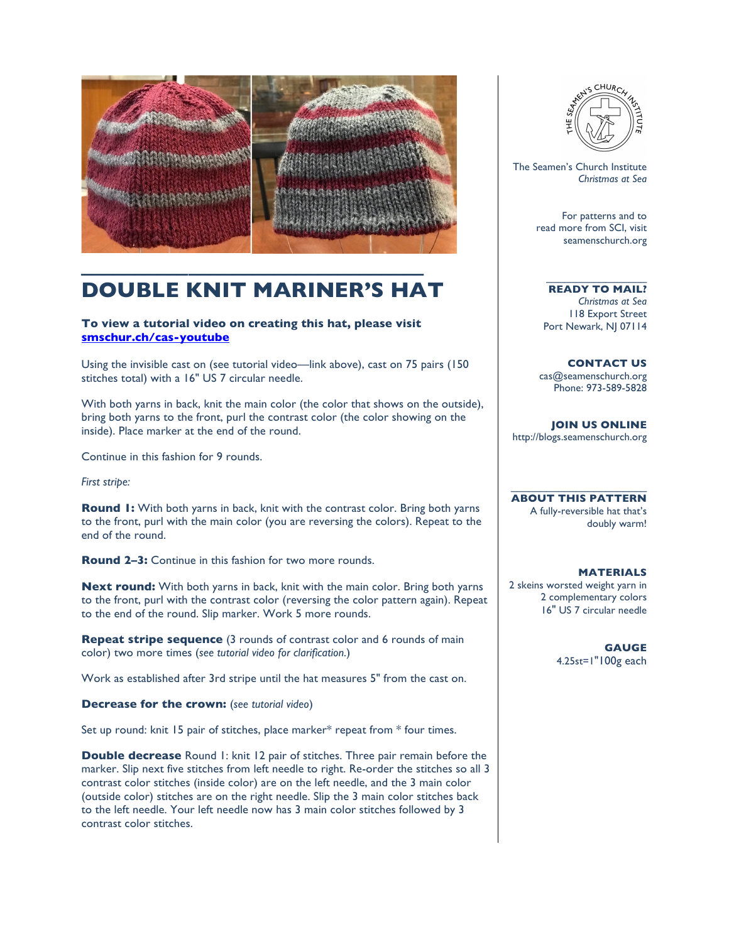

## **DOUBLE KNIT MARINER'S HAT**

## **To view a tutorial video on creating this hat, please visit smschur.ch/cas-youtube**

Using the invisible cast on (see tutorial video—link above), cast on 75 pairs (150 stitches total) with a 16" US 7 circular needle.

With both yarns in back, knit the main color (the color that shows on the outside), bring both yarns to the front, purl the contrast color (the color showing on the inside). Place marker at the end of the round.

Continue in this fashion for 9 rounds.

*First stripe:*

**Round 1:** With both yarns in back, knit with the contrast color. Bring both yarns to the front, purl with the main color (you are reversing the colors). Repeat to the end of the round.

**Round 2–3:** Continue in this fashion for two more rounds.

**Next round:** With both yarns in back, knit with the main color. Bring both yarns to the front, purl with the contrast color (reversing the color pattern again). Repeat to the end of the round. Slip marker. Work 5 more rounds.

**Repeat stripe sequence** (3 rounds of contrast color and 6 rounds of main color) two more times (*see tutorial video for clarification.*)

Work as established after 3rd stripe until the hat measures 5" from the cast on.

**Decrease for the crown:** (*see tutorial video*)

Set up round: knit 15 pair of stitches, place marker\* repeat from \* four times.

**Double decrease** Round 1: knit 12 pair of stitches. Three pair remain before the marker. Slip next five stitches from left needle to right. Re-order the stitches so all 3 contrast color stitches (inside color) are on the left needle, and the 3 main color (outside color) stitches are on the right needle. Slip the 3 main color stitches back to the left needle. Your left needle now has 3 main color stitches followed by 3 contrast color stitches.



The Seamen's Church Institute *Christmas at Sea*

> For patterns and to read more from SCI, visit seamenschurch.org

**READY TO MAIL?** *Christmas at Sea* 118 Export Street Port Newark, NJ 07114

\_\_\_\_\_\_\_\_\_\_\_\_\_\_\_\_\_

**CONTACT US** cas@seamenschurch.org Phone: 973-589-5828

**JOIN US ONLINE**  http://blogs.seamenschurch.org

**ABOUT THIS PATTERN** A fully-reversible hat that's doubly warm!

 $\mathcal{L}_\text{max}$  and  $\mathcal{L}_\text{max}$  and  $\mathcal{L}_\text{max}$  and  $\mathcal{L}_\text{max}$ 

## **MATERIALS**

2 skeins worsted weight yarn in 2 complementary colors 16" US 7 circular needle

> **GAUGE** 4.25st=1"100g each